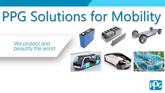# PPG Solutions for Mobility

# We protect and<br>beautify the world







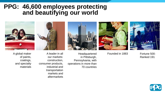## **PPG: 46,600 employees protecting and beautifying our world**





A global maker of paints, coatings, and specialty materials

A leader in all our markets: construction, consumer products, industrial and transportation markets and

aftermarkets



operations in more than 70 countries

Headquartered in Pittsburgh, Pennsylvania, with



Founded in 1883 Fortune 500:

Ranked 191:

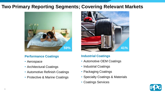### **Two Primary Reporting Segments; Covering Relevant Markets**



#### **Performance Coatings**

- Aerospace
- Architectural Coatings
- Automotive Refinish Coatings
- Protective & Marine Coatings



### **Industrial Coatings**

- Automotive OEM Coatings
- Industrial Coatings
- Packaging Coatings
- Specialty Coatings & Materials
- Coatings Services

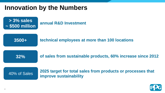# **Innovation by the Numbers**

**> 3% sales ~ \$500 million 3500+ 32%** 40% of Sales **annual R&D Investment technical employees at more than 100 locations of sales from sustainable products, 60% increase since 2012 2025 target for total sales from products or processes that improve sustainability**

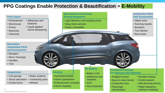### **PPG Coatings Enable Protection & Beautification + E-Mobility**

#### **First Layers**

- Pretreatment
- Electrocoat
- Primer
- Basecoat
- Clearcoat

#### **Decorative Automotive Parts and Accessories**

- Bumpers
- Mirror Housings
- Handles
- Trim

#### **Suspension**

- Coil springs
- Brake systems

• Wheels

- Shock absorbers • Underbody parts
- Control arms

- Adhesives and **Sealants** 
	- Liquid-applied
		- sound dampening
- **Specialized Autonomous Driving Equipment**
- Light detection and ranging active
- Easy-clean sensors
- Radar compatible

#### **Automotive Parts And Accessories**

- Wiper arms
- Running boards
- Bumpers
- Tow hitches
- Roof racks

#### **Interiors**

- Instrument panels
- Interior panels/trim
- Entertainment consoles
- Interior displays

#### **EV Battery**

- Battery Cell
- Adhesives and
- **Sealants**
- NVH
- Fire Protection

#### **Functional Coatings For Sensors and Antennas**

- Antiglare lenses
- Easy-to-clean lenses
- Conductive inks
- Passenger classification
- Flexible heating
- Control panels
- Self-dimming mirrors
- Radio frequency interface shielding

PPG Confidential Information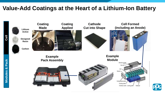## **Value-Add Coatings at the Heart of a Lithium-Ion Battery**

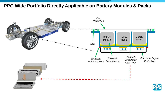### **PPG Wide Portfolio Directly Applicable on Battery Modules & Packs**

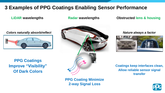### **3 Examples of PPG Coatings Enabling Sensor Performance**

### **LiDAR wavelengths Radar wavelengths**

### **Obstructed lens & housing**



**PPG Coatings Improve "Visibility" Of Dark Colors**



### **PPG Coating Minimize 2-way Signal Loss**



**Coatings keep interfaces clean, Allow reliable sensor signal transfer**